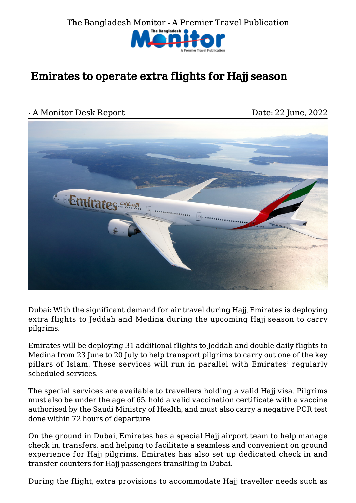

## Emirates to operate extra flights for Hajj season

## A Monitor Desk Report Date: 22 June, 2022



Dubai: With the significant demand for air travel during Hajj, Emirates is deploying extra flights to Jeddah and Medina during the upcoming Hajj season to carry pilgrims.

Emirates will be deploying 31 additional flights to Jeddah and double daily flights to Medina from 23 June to 20 July to help transport pilgrims to carry out one of the key pillars of Islam. These services will run in parallel with Emirates' regularly scheduled services.

The special services are available to travellers holding a valid Hajj visa. Pilgrims must also be under the age of 65, hold a valid vaccination certificate with a vaccine authorised by the Saudi Ministry of Health, and must also carry a negative PCR test done within 72 hours of departure.

On the ground in Dubai, Emirates has a special Hajj airport team to help manage check-in, transfers, and helping to facilitate a seamless and convenient on ground experience for Hajj pilgrims. Emirates has also set up dedicated check-in and transfer counters for Hajj passengers transiting in Dubai.

During the flight, extra provisions to accommodate Hajj traveller needs such as